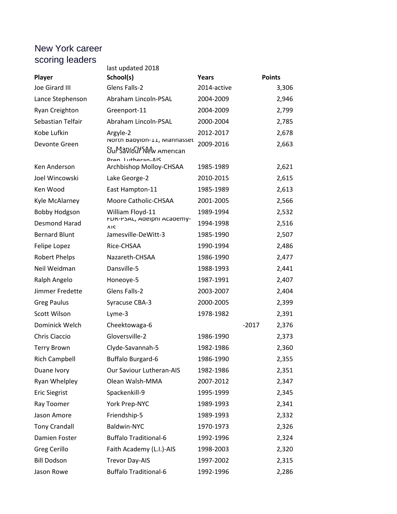## New York career scoring leaders

|                      | last updated 2018                                        |             |                  |
|----------------------|----------------------------------------------------------|-------------|------------------|
| Player               | School(s)                                                | Years       | <b>Points</b>    |
| Joe Girard III       | Glens Falls-2                                            | 2014-active | 3,306            |
| Lance Stephenson     | Abraham Lincoln-PSAL                                     | 2004-2009   | 2,946            |
| Ryan Creighton       | Greenport-11                                             | 2004-2009   | 2,799            |
| Sebastian Telfair    | Abraham Lincoln-PSAL                                     | 2000-2004   | 2,785            |
| Kobe Lufkin          | Argyle-2                                                 | 2012-2017   | 2,678            |
| Devonte Green        | NOrth Babylon-11, Mannasset<br>Stur Saviour New American | 2009-2016   | 2,663            |
| Ken Anderson         | Dran Lutharan-AIS<br>Archbishop Molloy-CHSAA             | 1985-1989   | 2,621            |
| Joel Wincowski       | Lake George-2                                            | 2010-2015   | 2,615            |
| Ken Wood             | East Hampton-11                                          | 1985-1989   | 2,613            |
| Kyle McAlarney       | Moore Catholic-CHSAA                                     | 2001-2005   | 2,566            |
| <b>Bobby Hodgson</b> | William Floyd-11                                         | 1989-1994   | 2,532            |
| <b>Desmond Harad</b> | <b>FDR-PSAL, Adeiphi Academy-</b><br><b>AIS</b>          | 1994-1998   | 2,516            |
| <b>Bernard Blunt</b> | Jamesville-DeWitt-3                                      | 1985-1990   | 2,507            |
| Felipe Lopez         | Rice-CHSAA                                               | 1990-1994   | 2,486            |
| <b>Robert Phelps</b> | Nazareth-CHSAA                                           | 1986-1990   | 2,477            |
| Neil Weidman         | Dansville-5                                              | 1988-1993   | 2,441            |
| Ralph Angelo         | Honeoye-5                                                | 1987-1991   | 2,407            |
| Jimmer Fredette      | Glens Falls-2                                            | 2003-2007   | 2,404            |
| <b>Greg Paulus</b>   | Syracuse CBA-3                                           | 2000-2005   | 2,399            |
| Scott Wilson         | Lyme-3                                                   | 1978-1982   | 2,391            |
| Dominick Welch       | Cheektowaga-6                                            |             | $-2017$<br>2,376 |
| Chris Ciaccio        | Gloversville-2                                           | 1986-1990   | 2,373            |
| <b>Terry Brown</b>   | Clyde-Savannah-5                                         | 1982-1986   | 2,360            |
| <b>Rich Campbell</b> | <b>Buffalo Burgard-6</b>                                 | 1986-1990   | 2,355            |
| Duane Ivory          | Our Saviour Lutheran-AIS                                 | 1982-1986   | 2,351            |
| Ryan Whelpley        | Olean Walsh-MMA                                          | 2007-2012   | 2,347            |
| <b>Eric Siegrist</b> | Spackenkill-9                                            | 1995-1999   | 2,345            |
| Ray Toomer           | York Prep-NYC                                            | 1989-1993   | 2,341            |
| Jason Amore          | Friendship-5                                             | 1989-1993   | 2,332            |
| <b>Tony Crandall</b> | Baldwin-NYC                                              | 1970-1973   | 2,326            |
| Damien Foster        | <b>Buffalo Traditional-6</b>                             | 1992-1996   | 2,324            |
| Greg Cerillo         | Faith Academy (L.I.)-AIS                                 | 1998-2003   | 2,320            |
| <b>Bill Dodson</b>   | <b>Trevor Day-AIS</b>                                    | 1997-2002   | 2,315            |
| Jason Rowe           | <b>Buffalo Traditional-6</b>                             | 1992-1996   | 2,286            |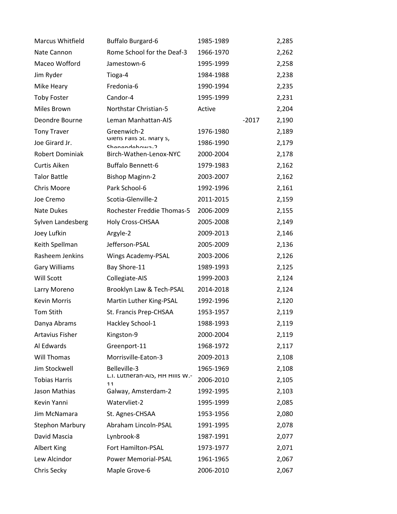| <b>Marcus Whitfield</b> | <b>Buffalo Burgard-6</b>                  | 1985-1989 |         | 2,285 |
|-------------------------|-------------------------------------------|-----------|---------|-------|
| Nate Cannon             | Rome School for the Deaf-3                | 1966-1970 |         | 2,262 |
| Maceo Wofford           | Jamestown-6                               | 1995-1999 |         | 2,258 |
| Jim Ryder               | Tioga-4                                   | 1984-1988 |         | 2,238 |
| Mike Heary              | Fredonia-6                                | 1990-1994 |         | 2,235 |
| <b>Toby Foster</b>      | Candor-4                                  | 1995-1999 |         | 2,231 |
| Miles Brown             | Northstar Christian-5                     | Active    |         | 2,204 |
| Deondre Bourne          | Leman Manhattan-AIS                       |           | $-2017$ | 2,190 |
| <b>Tony Traver</b>      | Greenwich-2                               | 1976-1980 |         | 2,189 |
| Joe Girard Jr.          | Glens Falls St. Mary S,<br>Chanandahnwa-7 | 1986-1990 |         | 2,179 |
| Robert Dominiak         | Birch-Wathen-Lenox-NYC                    | 2000-2004 |         | 2,178 |
| Curtis Aiken            | <b>Buffalo Bennett-6</b>                  | 1979-1983 |         | 2,162 |
| <b>Talor Battle</b>     | <b>Bishop Maginn-2</b>                    | 2003-2007 |         | 2,162 |
| Chris Moore             | Park School-6                             | 1992-1996 |         | 2,161 |
| Joe Cremo               | Scotia-Glenville-2                        | 2011-2015 |         | 2,159 |
| Nate Dukes              | Rochester Freddie Thomas-5                | 2006-2009 |         | 2,155 |
| Sylven Landesberg       | Holy Cross-CHSAA                          | 2005-2008 |         | 2,149 |
| Joey Lufkin             | Argyle-2                                  | 2009-2013 |         | 2,146 |
| Keith Spellman          | Jefferson-PSAL                            | 2005-2009 |         | 2,136 |
| Rasheem Jenkins         | Wings Academy-PSAL                        | 2003-2006 |         | 2,126 |
| <b>Gary Williams</b>    | Bay Shore-11                              | 1989-1993 |         | 2,125 |
| Will Scott              | Collegiate-AIS                            | 1999-2003 |         | 2,124 |
| Larry Moreno            | Brooklyn Law & Tech-PSAL                  | 2014-2018 |         | 2,124 |
| <b>Kevin Morris</b>     | Martin Luther King-PSAL                   | 1992-1996 |         | 2,120 |
| <b>Tom Stith</b>        | St. Francis Prep-CHSAA                    | 1953-1957 |         | 2,119 |
| Danya Abrams            | Hackley School-1                          | 1988-1993 |         | 2,119 |
| <b>Artavius Fisher</b>  | Kingston-9                                | 2000-2004 |         | 2,119 |
| Al Edwards              | Greenport-11                              | 1968-1972 |         | 2,117 |
| Will Thomas             | Morrisville-Eaton-3                       | 2009-2013 |         | 2,108 |
| Jim Stockwell           | Belleville-3                              | 1965-1969 |         | 2,108 |
| <b>Tobias Harris</b>    | L.I. Lutneran-AIS, HH HIIIS W.-<br>11     | 2006-2010 |         | 2,105 |
| Jason Mathias           | Galway, Amsterdam-2                       | 1992-1995 |         | 2,103 |
| Kevin Yanni             | Watervliet-2                              | 1995-1999 |         | 2,085 |
| Jim McNamara            | St. Agnes-CHSAA                           | 1953-1956 |         | 2,080 |
| <b>Stephon Marbury</b>  | Abraham Lincoln-PSAL                      | 1991-1995 |         | 2,078 |
| David Mascia            | Lynbrook-8                                | 1987-1991 |         | 2,077 |
| <b>Albert King</b>      | Fort Hamilton-PSAL                        | 1973-1977 |         | 2,071 |
| Lew Alcindor            | Power Memorial-PSAL                       | 1961-1965 |         | 2,067 |
| Chris Secky             | Maple Grove-6                             | 2006-2010 |         | 2,067 |